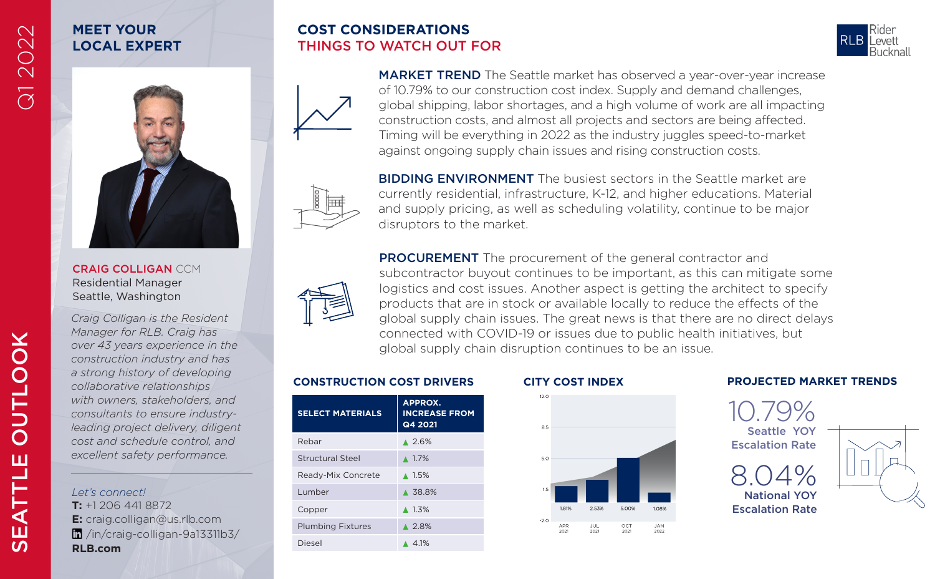# Q1 2022

SEATTLE OUTLOOK

EATTLE

 $\overline{u}$ 

OUTLOOK

## **MEET YOUR LOCAL EXPERT**

## **COST CONSIDERATIONS** THINGS TO WATCH OUT FOR





MARKET TREND The Seattle market has observed a year-over-year increase of 10.79% to our construction cost index. Supply and demand challenges, global shipping, labor shortages, and a high volume of work are all impacting construction costs, and almost all projects and sectors are being affected. Timing will be everything in 2022 as the industry juggles speed-to-market against ongoing supply chain issues and rising construction costs.



BIDDING ENVIRONMENT The busiest sectors in the Seattle market are currently residential, infrastructure, K-12, and higher educations. Material and supply pricing, as well as scheduling volatility, continue to be major disruptors to the market.

CRAIG COLLIGAN CCM Residential Manager Seattle, Washington

*Craig Colligan is the Resident Manager for RLB. Craig has over 43 years experience in the construction industry and has a strong history of developing collaborative relationships with owners, stakeholders, and consultants to ensure industryleading project delivery, diligent cost and schedule control, and excellent safety performance.*

*Let's connect!* **T:** +1 206 441 8872 **E:** craig.colligan@us.rlb.com /in/craig-colligan-9a13311b3/ **RLB.com**



PROCUREMENT The procurement of the general contractor and subcontractor buyout continues to be important, as this can mitigate some logistics and cost issues. Another aspect is getting the architect to specify products that are in stock or available locally to reduce the effects of the global supply chain issues. The great news is that there are no direct delays connected with COVID-19 or issues due to public health initiatives, but global supply chain disruption continues to be an issue.

| <b>SELECT MATERIALS</b>  | <b>APPROX.</b><br><b>INCREASE FROM</b><br>Q4 2021 |
|--------------------------|---------------------------------------------------|
| Rebar                    | $\triangle 2.6\%$                                 |
| <b>Structural Steel</b>  | $\triangle$ 1.7%                                  |
| Ready-Mix Concrete       | $\triangle$ 1.5%                                  |
| Lumber                   | ▲ 38.8%                                           |
| Copper                   | $\triangle$ 1.3%                                  |
| <b>Plumbing Fixtures</b> | $\triangle 2.8\%$                                 |
| Diesel                   | 4.1%                                              |
|                          |                                                   |

 $1200$ 

5.0

 $-2.0$ APF<br>2021

JUL<br>2021



#### **CONSTRUCTION COST DRIVERS CITY COST INDEX PROJECTED MARKET TRENDS**